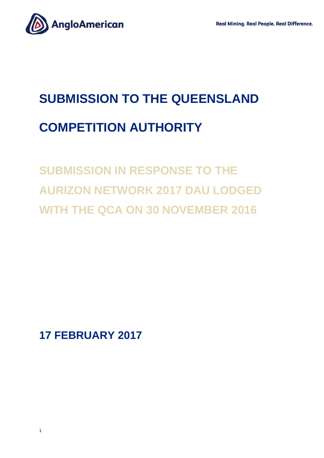

# **SUBMISSION TO THE QUEENSLAND COMPETITION AUTHORITY**

# **SUBMISSION IN RESPONSE TO THE AURIZON NETWORK 2017 DAU LODGED WITH THE QCA ON 30 NOVEMBER 2016**

**17 FEBRUARY 2017**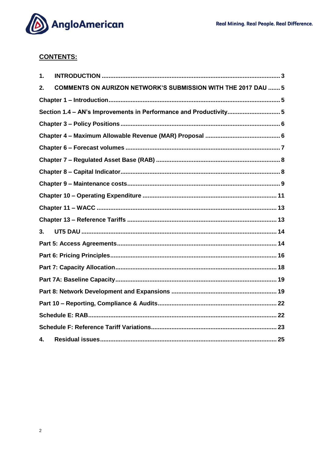

## **CONTENTS:**

| 1. |                                                                      |  |  |
|----|----------------------------------------------------------------------|--|--|
| 2. | <b>COMMENTS ON AURIZON NETWORK'S SUBMISSION WITH THE 2017 DAU  5</b> |  |  |
|    |                                                                      |  |  |
|    | Section 1.4 - AN's Improvements in Performance and Productivity 5    |  |  |
|    |                                                                      |  |  |
|    |                                                                      |  |  |
|    |                                                                      |  |  |
|    |                                                                      |  |  |
|    |                                                                      |  |  |
|    |                                                                      |  |  |
|    |                                                                      |  |  |
|    |                                                                      |  |  |
|    |                                                                      |  |  |
| 3. |                                                                      |  |  |
|    |                                                                      |  |  |
|    |                                                                      |  |  |
|    |                                                                      |  |  |
|    |                                                                      |  |  |
|    |                                                                      |  |  |
|    |                                                                      |  |  |
|    |                                                                      |  |  |
|    |                                                                      |  |  |
| 4. |                                                                      |  |  |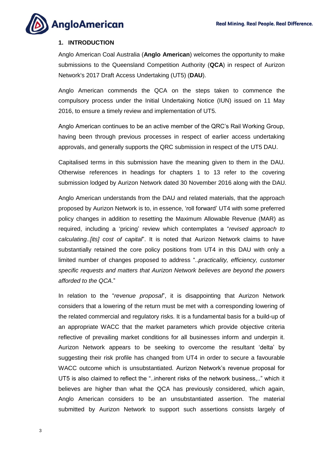

#### <span id="page-2-0"></span>**1. INTRODUCTION**

Anglo American Coal Australia (**Anglo American**) welcomes the opportunity to make submissions to the Queensland Competition Authority (**QCA**) in respect of Aurizon Network's 2017 Draft Access Undertaking (UT5) (**DAU**).

Anglo American commends the QCA on the steps taken to commence the compulsory process under the Initial Undertaking Notice (IUN) issued on 11 May 2016, to ensure a timely review and implementation of UT5.

Anglo American continues to be an active member of the QRC's Rail Working Group, having been through previous processes in respect of earlier access undertaking approvals, and generally supports the QRC submission in respect of the UT5 DAU.

Capitalised terms in this submission have the meaning given to them in the DAU. Otherwise references in headings for chapters 1 to 13 refer to the covering submission lodged by Aurizon Network dated 30 November 2016 along with the DAU.

Anglo American understands from the DAU and related materials, that the approach proposed by Aurizon Network is to, in essence, 'roll forward' UT4 with some preferred policy changes in addition to resetting the Maximum Allowable Revenue (MAR) as required, including a 'pricing' review which contemplates a "*revised approach to calculating..[its] cost of capital*". It is noted that Aurizon Network claims to have substantially retained the core policy positions from UT4 in this DAU with only a limited number of changes proposed to address "..*practicality, efficiency, customer specific requests and matters that Aurizon Network believes are beyond the powers afforded to the QCA*."

In relation to the "*revenue proposal*", it is disappointing that Aurizon Network considers that a lowering of the return must be met with a corresponding lowering of the related commercial and regulatory risks. It is a fundamental basis for a build-up of an appropriate WACC that the market parameters which provide objective criteria reflective of prevailing market conditions for all businesses inform and underpin it. Aurizon Network appears to be seeking to overcome the resultant 'delta' by suggesting their risk profile has changed from UT4 in order to secure a favourable WACC outcome which is unsubstantiated. Aurizon Network's revenue proposal for UT5 is also claimed to reflect the "..inherent risks of the network business,.." which it believes are higher than what the QCA has previously considered, which again, Anglo American considers to be an unsubstantiated assertion. The material submitted by Aurizon Network to support such assertions consists largely of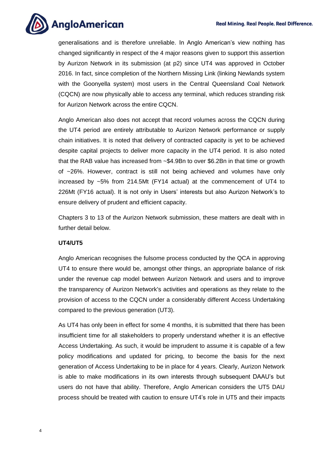

generalisations and is therefore unreliable. In Anglo American's view nothing has changed significantly in respect of the 4 major reasons given to support this assertion by Aurizon Network in its submission (at p2) since UT4 was approved in October 2016. In fact, since completion of the Northern Missing Link (linking Newlands system with the Goonyella system) most users in the Central Queensland Coal Network (CQCN) are now physically able to access any terminal, which reduces stranding risk for Aurizon Network across the entire CQCN.

Anglo American also does not accept that record volumes across the CQCN during the UT4 period are entirely attributable to Aurizon Network performance or supply chain initiatives. It is noted that delivery of contracted capacity is yet to be achieved despite capital projects to deliver more capacity in the UT4 period. It is also noted that the RAB value has increased from ~\$4.9Bn to over \$6.2Bn in that time or growth of ~26%. However, contract is still not being achieved and volumes have only increased by ~5% from 214.5Mt (FY14 actual) at the commencement of UT4 to 226Mt (FY16 actual). It is not only in Users' interests but also Aurizon Network's to ensure delivery of prudent and efficient capacity.

Chapters 3 to 13 of the Aurizon Network submission, these matters are dealt with in further detail below.

#### **UT4/UT5**

Anglo American recognises the fulsome process conducted by the QCA in approving UT4 to ensure there would be, amongst other things, an appropriate balance of risk under the revenue cap model between Aurizon Network and users and to improve the transparency of Aurizon Network's activities and operations as they relate to the provision of access to the CQCN under a considerably different Access Undertaking compared to the previous generation (UT3).

As UT4 has only been in effect for some 4 months, it is submitted that there has been insufficient time for all stakeholders to properly understand whether it is an effective Access Undertaking. As such, it would be imprudent to assume it is capable of a few policy modifications and updated for pricing, to become the basis for the next generation of Access Undertaking to be in place for 4 years. Clearly, Aurizon Network is able to make modifications in its own interests through subsequent DAAU's but users do not have that ability. Therefore, Anglo American considers the UT5 DAU process should be treated with caution to ensure UT4's role in UT5 and their impacts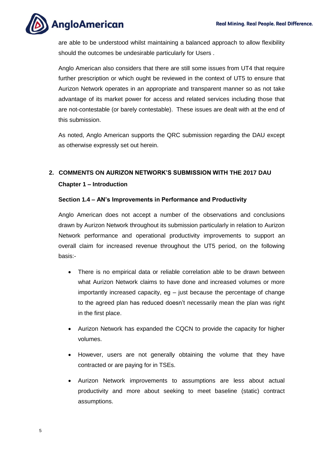**AngloAmerican** 

are able to be understood whilst maintaining a balanced approach to allow flexibility should the outcomes be undesirable particularly for Users .

Anglo American also considers that there are still some issues from UT4 that require further prescription or which ought be reviewed in the context of UT5 to ensure that Aurizon Network operates in an appropriate and transparent manner so as not take advantage of its market power for access and related services including those that are not-contestable (or barely contestable). These issues are dealt with at the end of this submission.

As noted, Anglo American supports the QRC submission regarding the DAU except as otherwise expressly set out herein.

### <span id="page-4-1"></span><span id="page-4-0"></span>**2. COMMENTS ON AURIZON NETWORK'S SUBMISSION WITH THE 2017 DAU Chapter 1 – Introduction**

#### <span id="page-4-2"></span>**Section 1.4 – AN's Improvements in Performance and Productivity**

Anglo American does not accept a number of the observations and conclusions drawn by Aurizon Network throughout its submission particularly in relation to Aurizon Network performance and operational productivity improvements to support an overall claim for increased revenue throughout the UT5 period, on the following basis:-

- There is no empirical data or reliable correlation able to be drawn between what Aurizon Network claims to have done and increased volumes or more importantly increased capacity, eg – just because the percentage of change to the agreed plan has reduced doesn't necessarily mean the plan was right in the first place.
- Aurizon Network has expanded the CQCN to provide the capacity for higher volumes.
- However, users are not generally obtaining the volume that they have contracted or are paying for in TSEs.
- Aurizon Network improvements to assumptions are less about actual productivity and more about seeking to meet baseline (static) contract assumptions.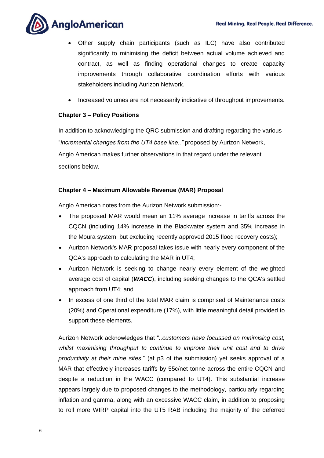

- Other supply chain participants (such as ILC) have also contributed significantly to minimising the deficit between actual volume achieved and contract, as well as finding operational changes to create capacity improvements through collaborative coordination efforts with various stakeholders including Aurizon Network.
- Increased volumes are not necessarily indicative of throughput improvements.

#### <span id="page-5-0"></span>**Chapter 3 – Policy Positions**

In addition to acknowledging the QRC submission and drafting regarding the various "*incremental changes from the UT4 base line.."* proposed by Aurizon Network, Anglo American makes further observations in that regard under the relevant sections below.

#### <span id="page-5-1"></span>**Chapter 4 – Maximum Allowable Revenue (MAR) Proposal**

Anglo American notes from the Aurizon Network submission:-

- The proposed MAR would mean an 11% average increase in tariffs across the CQCN (including 14% increase in the Blackwater system and 35% increase in the Moura system, but excluding recently approved 2015 flood recovery costs);
- Aurizon Network's MAR proposal takes issue with nearly every component of the QCA's approach to calculating the MAR in UT4;
- Aurizon Network is seeking to change nearly every element of the weighted average cost of capital (*WACC*), including seeking changes to the QCA's settled approach from UT4; and
- In excess of one third of the total MAR claim is comprised of Maintenance costs (20%) and Operational expenditure (17%), with little meaningful detail provided to support these elements.

Aurizon Network acknowledges that "*..customers have focussed on minimising cost, whilst maximising throughput to continue to improve their unit cost and to drive productivity at their mine sites*." (at p3 of the submission) yet seeks approval of a MAR that effectively increases tariffs by 55c/net tonne across the entire CQCN and despite a reduction in the WACC (compared to UT4). This substantial increase appears largely due to proposed changes to the methodology, particularly regarding inflation and gamma, along with an excessive WACC claim, in addition to proposing to roll more WIRP capital into the UT5 RAB including the majority of the deferred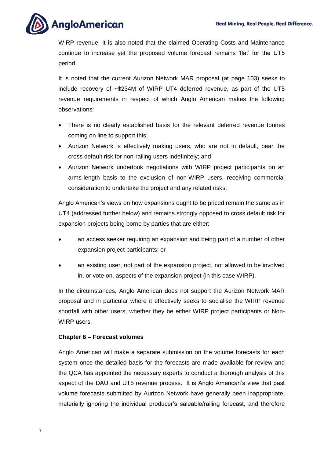**AngloAmerican** 

WIRP revenue. It is also noted that the claimed Operating Costs and Maintenance continue to increase yet the proposed volume forecast remains 'flat' for the UT5 period.

It is noted that the current Aurizon Network MAR proposal (at page 103) seeks to include recovery of ~\$234M of WIRP UT4 deferred revenue, as part of the UT5 revenue requirements in respect of which Anglo American makes the following observations:

- There is no clearly established basis for the relevant deferred revenue tonnes coming on line to support this;
- Aurizon Network is effectively making users, who are not in default, bear the cross default risk for non-railing users indefinitely; and
- Aurizon Network undertook negotiations with WIRP project participants on an arms-length basis to the exclusion of non-WIRP users, receiving commercial consideration to undertake the project and any related risks.

Anglo American's views on how expansions ought to be priced remain the same as in UT4 (addressed further below) and remains strongly opposed to cross default risk for expansion projects being borne by parties that are either:

- an access seeker requiring an expansion and being part of a number of other expansion project participants; or
- an existing user, not part of the expansion project, not allowed to be involved in, or vote on, aspects of the expansion project (in this case WIRP).

In the circumstances, Anglo American does not support the Aurizon Network MAR proposal and in particular where it effectively seeks to socialise the WIRP revenue shortfall with other users, whether they be either WIRP project participants or Non-WIRP users.

#### <span id="page-6-0"></span>**Chapter 6 – Forecast volumes**

Anglo American will make a separate submission on the volume forecasts for each system once the detailed basis for the forecasts are made available for review and the QCA has appointed the necessary experts to conduct a thorough analysis of this aspect of the DAU and UT5 revenue process. It is Anglo American's view that past volume forecasts submitted by Aurizon Network have generally been inappropriate, materially ignoring the individual producer's saleable/railing forecast, and therefore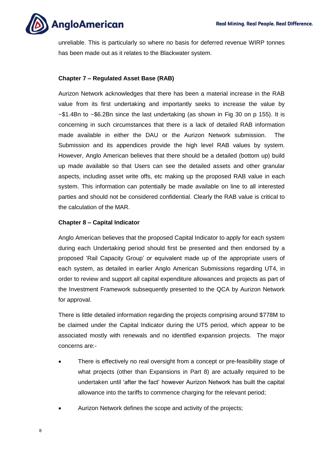

unreliable. This is particularly so where no basis for deferred revenue WIRP tonnes has been made out as it relates to the Blackwater system.

#### <span id="page-7-0"></span>**Chapter 7 – Regulated Asset Base (RAB)**

Aurizon Network acknowledges that there has been a material increase in the RAB value from its first undertaking and importantly seeks to increase the value by  $\sim$ \$1.4Bn to  $\sim$ \$6.2Bn since the last undertaking (as shown in Fig 30 on p 155). It is concerning in such circumstances that there is a lack of detailed RAB information made available in either the DAU or the Aurizon Network submission. The Submission and its appendices provide the high level RAB values by system. However, Anglo American believes that there should be a detailed (bottom up) build up made available so that Users can see the detailed assets and other granular aspects, including asset write offs, etc making up the proposed RAB value in each system. This information can potentially be made available on line to all interested parties and should not be considered confidential. Clearly the RAB value is critical to the calculation of the MAR.

#### <span id="page-7-1"></span>**Chapter 8 – Capital Indicator**

Anglo American believes that the proposed Capital Indicator to apply for each system during each Undertaking period should first be presented and then endorsed by a proposed 'Rail Capacity Group' or equivalent made up of the appropriate users of each system, as detailed in earlier Anglo American Submissions regarding UT4, in order to review and support all capital expenditure allowances and projects as part of the Investment Framework subsequently presented to the QCA by Aurizon Network for approval.

There is little detailed information regarding the projects comprising around \$778M to be claimed under the Capital Indicator during the UT5 period, which appear to be associated mostly with renewals and no identified expansion projects. The major concerns are:-

- There is effectively no real oversight from a concept or pre-feasibility stage of what projects (other than Expansions in Part 8) are actually required to be undertaken until 'after the fact' however Aurizon Network has built the capital allowance into the tariffs to commence charging for the relevant period;
- Aurizon Network defines the scope and activity of the projects;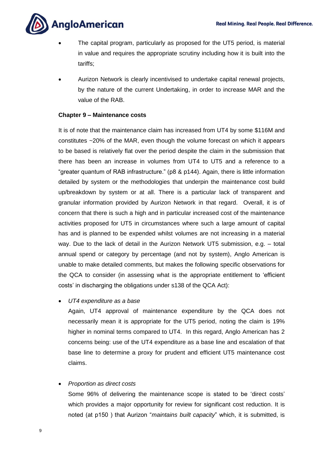

- The capital program, particularly as proposed for the UT5 period, is material in value and requires the appropriate scrutiny including how it is built into the tariffs;
- Aurizon Network is clearly incentivised to undertake capital renewal projects, by the nature of the current Undertaking, in order to increase MAR and the value of the RAB.

#### <span id="page-8-0"></span>**Chapter 9 – Maintenance costs**

It is of note that the maintenance claim has increased from UT4 by some \$116M and constitutes ~20% of the MAR, even though the volume forecast on which it appears to be based is relatively flat over the period despite the claim in the submission that there has been an increase in volumes from UT4 to UT5 and a reference to a "greater quantum of RAB infrastructure." (p8 & p144). Again, there is little information detailed by system or the methodologies that underpin the maintenance cost build up/breakdown by system or at all. There is a particular lack of transparent and granular information provided by Aurizon Network in that regard. Overall, it is of concern that there is such a high and in particular increased cost of the maintenance activities proposed for UT5 in circumstances where such a large amount of capital has and is planned to be expended whilst volumes are not increasing in a material way. Due to the lack of detail in the Aurizon Network UT5 submission, e.g. – total annual spend or category by percentage (and not by system), Anglo American is unable to make detailed comments, but makes the following specific observations for the QCA to consider (in assessing what is the appropriate entitlement to 'efficient costs' in discharging the obligations under s138 of the QCA Act):

*UT4 expenditure as a base*

Again, UT4 approval of maintenance expenditure by the QCA does not necessarily mean it is appropriate for the UT5 period, noting the claim is 19% higher in nominal terms compared to UT4. In this regard, Anglo American has 2 concerns being: use of the UT4 expenditure as a base line and escalation of that base line to determine a proxy for prudent and efficient UT5 maintenance cost claims.

*Proportion as direct costs*

Some 96% of delivering the maintenance scope is stated to be 'direct costs' which provides a major opportunity for review for significant cost reduction. It is noted (at p150 ) that Aurizon "*maintains built capacity*" which, it is submitted, is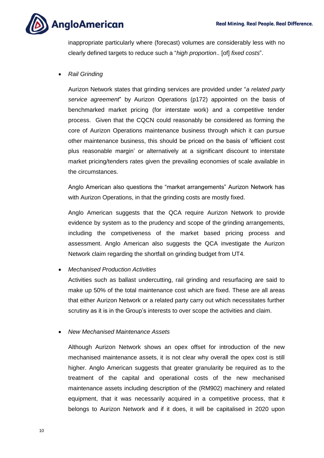

inappropriate particularly where (forecast) volumes are considerably less with no clearly defined targets to reduce such a "*high proportion*.. [of] *fixed costs*".

*Rail Grinding* 

Aurizon Network states that grinding services are provided under "*a related party service agreement*" by Aurizon Operations (p172) appointed on the basis of benchmarked market pricing (for interstate work) and a competitive tender process. Given that the CQCN could reasonably be considered as forming the core of Aurizon Operations maintenance business through which it can pursue other maintenance business, this should be priced on the basis of 'efficient cost plus reasonable margin' or alternatively at a significant discount to interstate market pricing/tenders rates given the prevailing economies of scale available in the circumstances.

Anglo American also questions the "market arrangements" Aurizon Network has with Aurizon Operations, in that the grinding costs are mostly fixed.

Anglo American suggests that the QCA require Aurizon Network to provide evidence by system as to the prudency and scope of the grinding arrangements, including the competiveness of the market based pricing process and assessment. Anglo American also suggests the QCA investigate the Aurizon Network claim regarding the shortfall on grinding budget from UT4.

#### *Mechanised Production Activities*

Activities such as ballast undercutting, rail grinding and resurfacing are said to make up 50% of the total maintenance cost which are fixed. These are all areas that either Aurizon Network or a related party carry out which necessitates further scrutiny as it is in the Group's interests to over scope the activities and claim.

*New Mechanised Maintenance Assets*

Although Aurizon Network shows an opex offset for introduction of the new mechanised maintenance assets, it is not clear why overall the opex cost is still higher. Anglo American suggests that greater granularity be required as to the treatment of the capital and operational costs of the new mechanised maintenance assets including description of the (RM902) machinery and related equipment, that it was necessarily acquired in a competitive process, that it belongs to Aurizon Network and if it does, it will be capitalised in 2020 upon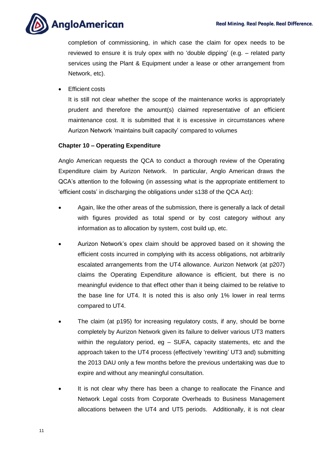

completion of commissioning, in which case the claim for opex needs to be reviewed to ensure it is truly opex with no 'double dipping' (e.g. – related party services using the Plant & Equipment under a lease or other arrangement from Network, etc).

Efficient costs

It is still not clear whether the scope of the maintenance works is appropriately prudent and therefore the amount(s) claimed representative of an efficient maintenance cost. It is submitted that it is excessive in circumstances where Aurizon Network 'maintains built capacity' compared to volumes

#### <span id="page-10-0"></span>**Chapter 10 – Operating Expenditure**

Anglo American requests the QCA to conduct a thorough review of the Operating Expenditure claim by Aurizon Network. In particular, Anglo American draws the QCA's attention to the following (in assessing what is the appropriate entitlement to 'efficient costs' in discharging the obligations under s138 of the QCA Act):

- Again, like the other areas of the submission, there is generally a lack of detail with figures provided as total spend or by cost category without any information as to allocation by system, cost build up, etc.
- Aurizon Network's opex claim should be approved based on it showing the efficient costs incurred in complying with its access obligations, not arbitrarily escalated arrangements from the UT4 allowance. Aurizon Network (at p207) claims the Operating Expenditure allowance is efficient, but there is no meaningful evidence to that effect other than it being claimed to be relative to the base line for UT4. It is noted this is also only 1% lower in real terms compared to UT4.
- The claim (at p195) for increasing regulatory costs, if any, should be borne completely by Aurizon Network given its failure to deliver various UT3 matters within the regulatory period, eg - SUFA, capacity statements, etc and the approach taken to the UT4 process (effectively 'rewriting' UT3 and) submitting the 2013 DAU only a few months before the previous undertaking was due to expire and without any meaningful consultation.
- It is not clear why there has been a change to reallocate the Finance and Network Legal costs from Corporate Overheads to Business Management allocations between the UT4 and UT5 periods. Additionally, it is not clear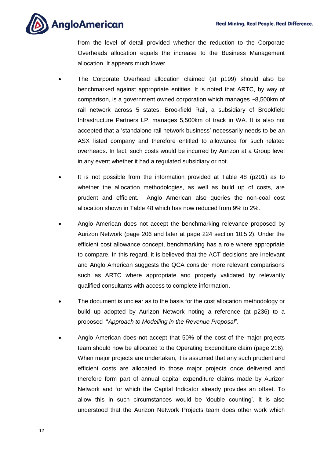

from the level of detail provided whether the reduction to the Corporate Overheads allocation equals the increase to the Business Management allocation. It appears much lower.

- The Corporate Overhead allocation claimed (at p199) should also be benchmarked against appropriate entities. It is noted that ARTC, by way of comparison, is a government owned corporation which manages ~8,500km of rail network across 5 states. Brookfield Rail, a subsidiary of Brookfield Infrastructure Partners LP, manages 5,500km of track in WA. It is also not accepted that a 'standalone rail network business' necessarily needs to be an ASX listed company and therefore entitled to allowance for such related overheads. In fact, such costs would be incurred by Aurizon at a Group level in any event whether it had a regulated subsidiary or not.
- It is not possible from the information provided at Table 48 (p201) as to whether the allocation methodologies, as well as build up of costs, are prudent and efficient. Anglo American also queries the non-coal cost allocation shown in Table 48 which has now reduced from 9% to 2%.
- Anglo American does not accept the benchmarking relevance proposed by Aurizon Network (page 206 and later at page 224 section 10.5.2). Under the efficient cost allowance concept, benchmarking has a role where appropriate to compare. In this regard, it is believed that the ACT decisions are irrelevant and Anglo American suggests the QCA consider more relevant comparisons such as ARTC where appropriate and properly validated by relevantly qualified consultants with access to complete information.
- The document is unclear as to the basis for the cost allocation methodology or build up adopted by Aurizon Network noting a reference (at p236) to a proposed "*Approach to Modelling in the Revenue Proposal*".
- Anglo American does not accept that 50% of the cost of the major projects team should now be allocated to the Operating Expenditure claim (page 216). When major projects are undertaken, it is assumed that any such prudent and efficient costs are allocated to those major projects once delivered and therefore form part of annual capital expenditure claims made by Aurizon Network and for which the Capital Indicator already provides an offset. To allow this in such circumstances would be 'double counting'. It is also understood that the Aurizon Network Projects team does other work which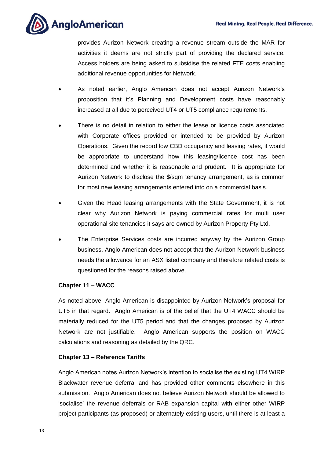

provides Aurizon Network creating a revenue stream outside the MAR for activities it deems are not strictly part of providing the declared service. Access holders are being asked to subsidise the related FTE costs enabling additional revenue opportunities for Network.

- As noted earlier, Anglo American does not accept Aurizon Network's proposition that it's Planning and Development costs have reasonably increased at all due to perceived UT4 or UT5 compliance requirements.
- There is no detail in relation to either the lease or licence costs associated with Corporate offices provided or intended to be provided by Aurizon Operations. Given the record low CBD occupancy and leasing rates, it would be appropriate to understand how this leasing/licence cost has been determined and whether it is reasonable and prudent. It is appropriate for Aurizon Network to disclose the \$/sqm tenancy arrangement, as is common for most new leasing arrangements entered into on a commercial basis.
- Given the Head leasing arrangements with the State Government, it is not clear why Aurizon Network is paying commercial rates for multi user operational site tenancies it says are owned by Aurizon Property Pty Ltd.
- The Enterprise Services costs are incurred anyway by the Aurizon Group business. Anglo American does not accept that the Aurizon Network business needs the allowance for an ASX listed company and therefore related costs is questioned for the reasons raised above.

#### <span id="page-12-0"></span>**Chapter 11 – WACC**

As noted above, Anglo American is disappointed by Aurizon Network's proposal for UT5 in that regard. Anglo American is of the belief that the UT4 WACC should be materially reduced for the UT5 period and that the changes proposed by Aurizon Network are not justifiable. Anglo American supports the position on WACC calculations and reasoning as detailed by the QRC.

#### <span id="page-12-1"></span>**Chapter 13 – Reference Tariffs**

Anglo American notes Aurizon Network's intention to socialise the existing UT4 WIRP Blackwater revenue deferral and has provided other comments elsewhere in this submission. Anglo American does not believe Aurizon Network should be allowed to 'socialise' the revenue deferrals or RAB expansion capital with either other WIRP project participants (as proposed) or alternately existing users, until there is at least a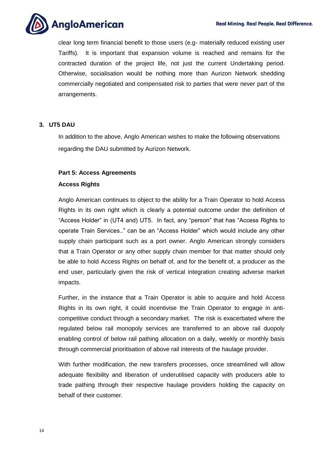

clear long term financial benefit to those users (e.g- materially reduced existing user Tariffs). It is important that expansion volume is reached and remains for the contracted duration of the project life, not just the current Undertaking period. Otherwise, socialisation would be nothing more than Aurizon Network shedding commercially negotiated and compensated risk to parties that were never part of the arrangements.

#### <span id="page-13-0"></span>**3. UT5 DAU**

In addition to the above, Anglo American wishes to make the following observations regarding the DAU submitted by Aurizon Network.

#### <span id="page-13-1"></span>**Part 5: Access Agreements**

#### **Access Rights**

Anglo American continues to object to the ability for a Train Operator to hold Access Rights in its own right which is clearly a potential outcome under the definition of "Access Holder" in (UT4 and) UT5. In fact, any "person" that has "Access Rights to operate Train Services.." can be an "Access Holder" which would include any other supply chain participant such as a port owner. Anglo American strongly considers that a Train Operator or any other supply chain member for that matter should only be able to hold Access Rights on behalf of, and for the benefit of, a producer as the end user, particularly given the risk of vertical integration creating adverse market impacts.

Further, in the instance that a Train Operator is able to acquire and hold Access Rights in its own right, it could incentivise the Train Operator to engage in anticompetitive conduct through a secondary market. The risk is exacerbated where the regulated below rail monopoly services are transferred to an above rail duopoly enabling control of below rail pathing allocation on a daily, weekly or monthly basis through commercial prioritisation of above rail interests of the haulage provider.

With further modification, the new transfers processes, once streamlined will allow adequate flexibility and liberation of underutilised capacity with producers able to trade pathing through their respective haulage providers holding the capacity on behalf of their customer.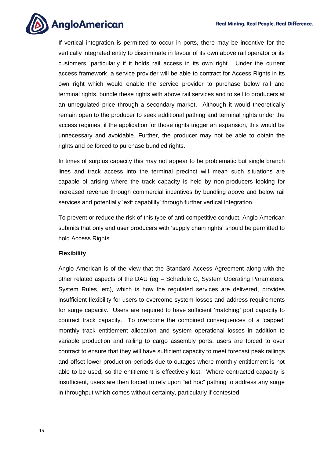

If vertical integration is permitted to occur in ports, there may be incentive for the vertically integrated entity to discriminate in favour of its own above rail operator or its customers, particularly if it holds rail access in its own right. Under the current access framework, a service provider will be able to contract for Access Rights in its own right which would enable the service provider to purchase below rail and terminal rights, bundle these rights with above rail services and to sell to producers at an unregulated price through a secondary market. Although it would theoretically remain open to the producer to seek additional pathing and terminal rights under the access regimes, if the application for those rights trigger an expansion, this would be unnecessary and avoidable. Further, the producer may not be able to obtain the rights and be forced to purchase bundled rights.

In times of surplus capacity this may not appear to be problematic but single branch lines and track access into the terminal precinct will mean such situations are capable of arising where the track capacity is held by non-producers looking for increased revenue through commercial incentives by bundling above and below rail services and potentially 'exit capability' through further vertical integration.

To prevent or reduce the risk of this type of anti-competitive conduct, Anglo American submits that only end user producers with 'supply chain rights' should be permitted to hold Access Rights.

#### **Flexibility**

Anglo American is of the view that the Standard Access Agreement along with the other related aspects of the DAU (eg – Schedule G, System Operating Parameters, System Rules, etc), which is how the regulated services are delivered, provides insufficient flexibility for users to overcome system losses and address requirements for surge capacity. Users are required to have sufficient 'matching' port capacity to contract track capacity. To overcome the combined consequences of a 'capped' monthly track entitlement allocation and system operational losses in addition to variable production and railing to cargo assembly ports, users are forced to over contract to ensure that they will have sufficient capacity to meet forecast peak railings and offset lower production periods due to outages where monthly entitlement is not able to be used, so the entitlement is effectively lost. Where contracted capacity is insufficient, users are then forced to rely upon "ad hoc" pathing to address any surge in throughput which comes without certainty, particularly if contested.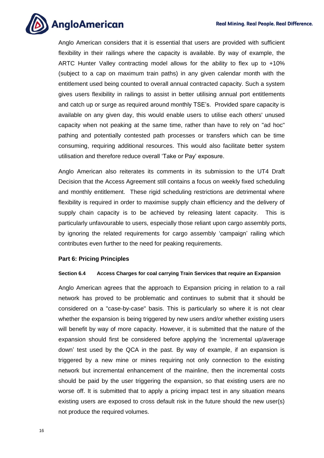

Anglo American considers that it is essential that users are provided with sufficient flexibility in their railings where the capacity is available. By way of example, the ARTC Hunter Valley contracting model allows for the ability to flex up to +10% (subject to a cap on maximum train paths) in any given calendar month with the entitlement used being counted to overall annual contracted capacity. Such a system gives users flexibility in railings to assist in better utilising annual port entitlements and catch up or surge as required around monthly TSE's. Provided spare capacity is available on any given day, this would enable users to utilise each others' unused capacity when not peaking at the same time, rather than have to rely on "ad hoc" pathing and potentially contested path processes or transfers which can be time consuming, requiring additional resources. This would also facilitate better system utilisation and therefore reduce overall 'Take or Pay' exposure.

Anglo American also reiterates its comments in its submission to the UT4 Draft Decision that the Access Agreement still contains a focus on weekly fixed scheduling and monthly entitlement. These rigid scheduling restrictions are detrimental where flexibility is required in order to maximise supply chain efficiency and the delivery of supply chain capacity is to be achieved by releasing latent capacity. This is particularly unfavourable to users, especially those reliant upon cargo assembly ports, by ignoring the related requirements for cargo assembly 'campaign' railing which contributes even further to the need for peaking requirements.

#### <span id="page-15-0"></span>**Part 6: Pricing Principles**

#### **Section 6.4 Access Charges for coal carrying Train Services that require an Expansion**

Anglo American agrees that the approach to Expansion pricing in relation to a rail network has proved to be problematic and continues to submit that it should be considered on a "case-by-case" basis. This is particularly so where it is not clear whether the expansion is being triggered by new users and/or whether existing users will benefit by way of more capacity. However, it is submitted that the nature of the expansion should first be considered before applying the 'incremental up/average down' test used by the QCA in the past. By way of example, if an expansion is triggered by a new mine or mines requiring not only connection to the existing network but incremental enhancement of the mainline, then the incremental costs should be paid by the user triggering the expansion, so that existing users are no worse off. It is submitted that to apply a pricing impact test in any situation means existing users are exposed to cross default risk in the future should the new user(s) not produce the required volumes.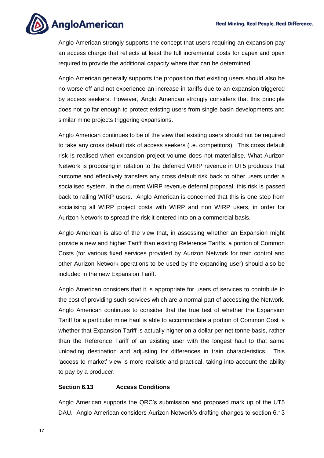

Anglo American strongly supports the concept that users requiring an expansion pay an access charge that reflects at least the full incremental costs for capex and opex required to provide the additional capacity where that can be determined.

Anglo American generally supports the proposition that existing users should also be no worse off and not experience an increase in tariffs due to an expansion triggered by access seekers. However, Anglo American strongly considers that this principle does not go far enough to protect existing users from single basin developments and similar mine projects triggering expansions.

Anglo American continues to be of the view that existing users should not be required to take any cross default risk of access seekers (i.e. competitors). This cross default risk is realised when expansion project volume does not materialise. What Aurizon Network is proposing in relation to the deferred WIRP revenue in UT5 produces that outcome and effectively transfers any cross default risk back to other users under a socialised system. In the current WIRP revenue deferral proposal, this risk is passed back to railing WIRP users. Anglo American is concerned that this is one step from socialising all WIRP project costs with WIRP and non WIRP users, in order for Aurizon Network to spread the risk it entered into on a commercial basis.

Anglo American is also of the view that, in assessing whether an Expansion might provide a new and higher Tariff than existing Reference Tariffs, a portion of Common Costs (for various fixed services provided by Aurizon Network for train control and other Aurizon Network operations to be used by the expanding user) should also be included in the new Expansion Tariff.

Anglo American considers that it is appropriate for users of services to contribute to the cost of providing such services which are a normal part of accessing the Network. Anglo American continues to consider that the true test of whether the Expansion Tariff for a particular mine haul is able to accommodate a portion of Common Cost is whether that Expansion Tariff is actually higher on a dollar per net tonne basis, rather than the Reference Tariff of an existing user with the longest haul to that same unloading destination and adjusting for differences in train characteristics. This 'access to market' view is more realistic and practical, taking into account the ability to pay by a producer.

#### **Section 6.13 Access Conditions**

Anglo American supports the QRC's submission and proposed mark up of the UT5 DAU. Anglo American considers Aurizon Network's drafting changes to section 6.13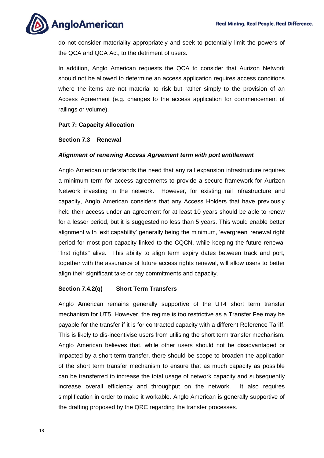

do not consider materiality appropriately and seek to potentially limit the powers of the QCA and QCA Act, to the detriment of users.

In addition, Anglo American requests the QCA to consider that Aurizon Network should not be allowed to determine an access application requires access conditions where the items are not material to risk but rather simply to the provision of an Access Agreement (e.g. changes to the access application for commencement of railings or volume).

#### <span id="page-17-0"></span>**Part 7: Capacity Allocation**

#### **Section 7.3 Renewal**

#### *Alignment of renewing Access Agreement term with port entitlement*

Anglo American understands the need that any rail expansion infrastructure requires a minimum term for access agreements to provide a secure framework for Aurizon Network investing in the network. However, for existing rail infrastructure and capacity, Anglo American considers that any Access Holders that have previously held their access under an agreement for at least 10 years should be able to renew for a lesser period, but it is suggested no less than 5 years. This would enable better alignment with 'exit capability' generally being the minimum, 'evergreen' renewal right period for most port capacity linked to the CQCN, while keeping the future renewal "first rights" alive. This ability to align term expiry dates between track and port, together with the assurance of future access rights renewal, will allow users to better align their significant take or pay commitments and capacity.

#### **Section 7.4.2(q) Short Term Transfers**

Anglo American remains generally supportive of the UT4 short term transfer mechanism for UT5. However, the regime is too restrictive as a Transfer Fee may be payable for the transfer if it is for contracted capacity with a different Reference Tariff. This is likely to dis-incentivise users from utilising the short term transfer mechanism. Anglo American believes that, while other users should not be disadvantaged or impacted by a short term transfer, there should be scope to broaden the application of the short term transfer mechanism to ensure that as much capacity as possible can be transferred to increase the total usage of network capacity and subsequently increase overall efficiency and throughput on the network. It also requires simplification in order to make it workable. Anglo American is generally supportive of the drafting proposed by the QRC regarding the transfer processes.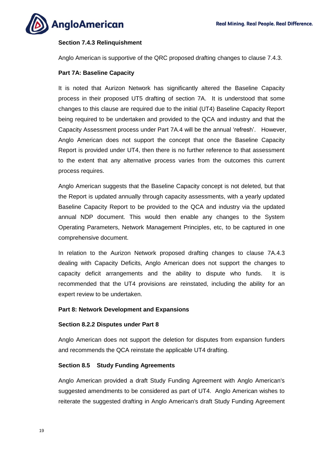

#### **Section 7.4.3 Relinquishment**

Anglo American is supportive of the QRC proposed drafting changes to clause 7.4.3.

#### <span id="page-18-0"></span>**Part 7A: Baseline Capacity**

It is noted that Aurizon Network has significantly altered the Baseline Capacity process in their proposed UT5 drafting of section 7A. It is understood that some changes to this clause are required due to the initial (UT4) Baseline Capacity Report being required to be undertaken and provided to the QCA and industry and that the Capacity Assessment process under Part 7A.4 will be the annual 'refresh'. However, Anglo American does not support the concept that once the Baseline Capacity Report is provided under UT4, then there is no further reference to that assessment to the extent that any alternative process varies from the outcomes this current process requires.

Anglo American suggests that the Baseline Capacity concept is not deleted, but that the Report is updated annually through capacity assessments, with a yearly updated Baseline Capacity Report to be provided to the QCA and industry via the updated annual NDP document. This would then enable any changes to the System Operating Parameters, Network Management Principles, etc, to be captured in one comprehensive document.

In relation to the Aurizon Network proposed drafting changes to clause 7A.4.3 dealing with Capacity Deficits, Anglo American does not support the changes to capacity deficit arrangements and the ability to dispute who funds. It is recommended that the UT4 provisions are reinstated, including the ability for an expert review to be undertaken.

#### <span id="page-18-1"></span>**Part 8: Network Development and Expansions**

#### **Section 8.2.2 Disputes under Part 8**

Anglo American does not support the deletion for disputes from expansion funders and recommends the QCA reinstate the applicable UT4 drafting.

#### **Section 8.5 Study Funding Agreements**

Anglo American provided a draft Study Funding Agreement with Anglo American's suggested amendments to be considered as part of UT4. Anglo American wishes to reiterate the suggested drafting in Anglo American's draft Study Funding Agreement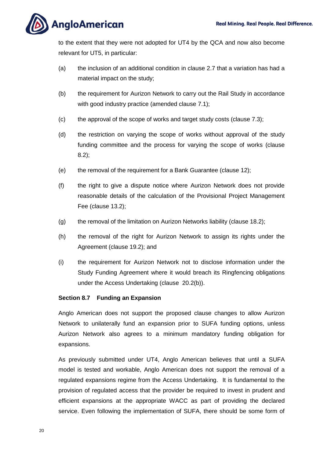

to the extent that they were not adopted for UT4 by the QCA and now also become relevant for UT5, in particular:

- (a) the inclusion of an additional condition in clause 2.7 that a variation has had a material impact on the study;
- (b) the requirement for Aurizon Network to carry out the Rail Study in accordance with good industry practice (amended clause 7.1);
- (c) the approval of the scope of works and target study costs (clause 7.3);
- (d) the restriction on varying the scope of works without approval of the study funding committee and the process for varying the scope of works (clause 8.2);
- (e) the removal of the requirement for a Bank Guarantee (clause 12);
- (f) the right to give a dispute notice where Aurizon Network does not provide reasonable details of the calculation of the Provisional Project Management Fee (clause 13.2);
- (g) the removal of the limitation on Aurizon Networks liability (clause 18.2);
- (h) the removal of the right for Aurizon Network to assign its rights under the Agreement (clause 19.2); and
- (i) the requirement for Aurizon Network not to disclose information under the Study Funding Agreement where it would breach its Ringfencing obligations under the Access Undertaking (clause 20.2(b)).

#### **Section 8.7 Funding an Expansion**

Anglo American does not support the proposed clause changes to allow Aurizon Network to unilaterally fund an expansion prior to SUFA funding options, unless Aurizon Network also agrees to a minimum mandatory funding obligation for expansions.

As previously submitted under UT4, Anglo American believes that until a SUFA model is tested and workable, Anglo American does not support the removal of a regulated expansions regime from the Access Undertaking. It is fundamental to the provision of regulated access that the provider be required to invest in prudent and efficient expansions at the appropriate WACC as part of providing the declared service. Even following the implementation of SUFA, there should be some form of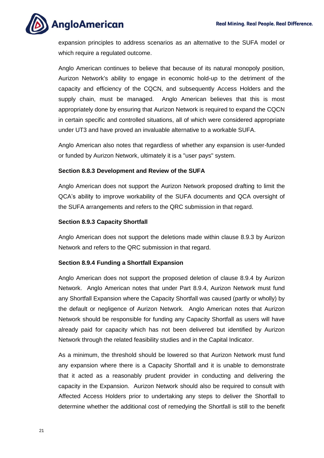**AngloAmerican** 

expansion principles to address scenarios as an alternative to the SUFA model or which require a regulated outcome.

Anglo American continues to believe that because of its natural monopoly position, Aurizon Network's ability to engage in economic hold-up to the detriment of the capacity and efficiency of the CQCN, and subsequently Access Holders and the supply chain, must be managed. Anglo American believes that this is most appropriately done by ensuring that Aurizon Network is required to expand the CQCN in certain specific and controlled situations, all of which were considered appropriate under UT3 and have proved an invaluable alternative to a workable SUFA.

Anglo American also notes that regardless of whether any expansion is user-funded or funded by Aurizon Network, ultimately it is a "user pays" system.

#### **Section 8.8.3 Development and Review of the SUFA**

Anglo American does not support the Aurizon Network proposed drafting to limit the QCA's ability to improve workability of the SUFA documents and QCA oversight of the SUFA arrangements and refers to the QRC submission in that regard.

#### **Section 8.9.3 Capacity Shortfall**

Anglo American does not support the deletions made within clause 8.9.3 by Aurizon Network and refers to the QRC submission in that regard.

#### **Section 8.9.4 Funding a Shortfall Expansion**

Anglo American does not support the proposed deletion of clause 8.9.4 by Aurizon Network. Anglo American notes that under Part 8.9.4, Aurizon Network must fund any Shortfall Expansion where the Capacity Shortfall was caused (partly or wholly) by the default or negligence of Aurizon Network. Anglo American notes that Aurizon Network should be responsible for funding any Capacity Shortfall as users will have already paid for capacity which has not been delivered but identified by Aurizon Network through the related feasibility studies and in the Capital Indicator.

As a minimum, the threshold should be lowered so that Aurizon Network must fund any expansion where there is a Capacity Shortfall and it is unable to demonstrate that it acted as a reasonably prudent provider in conducting and delivering the capacity in the Expansion. Aurizon Network should also be required to consult with Affected Access Holders prior to undertaking any steps to deliver the Shortfall to determine whether the additional cost of remedying the Shortfall is still to the benefit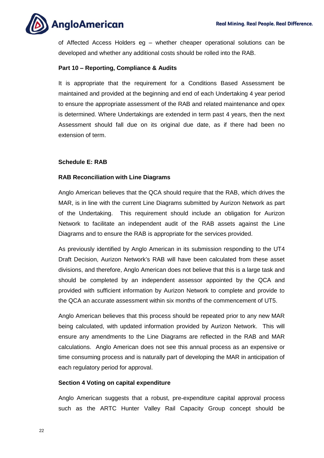

of Affected Access Holders eg – whether cheaper operational solutions can be developed and whether any additional costs should be rolled into the RAB.

#### <span id="page-21-0"></span>**Part 10 – Reporting, Compliance & Audits**

It is appropriate that the requirement for a Conditions Based Assessment be maintained and provided at the beginning and end of each Undertaking 4 year period to ensure the appropriate assessment of the RAB and related maintenance and opex is determined. Where Undertakings are extended in term past 4 years, then the next Assessment should fall due on its original due date, as if there had been no extension of term.

#### <span id="page-21-1"></span>**Schedule E: RAB**

#### **RAB Reconciliation with Line Diagrams**

Anglo American believes that the QCA should require that the RAB, which drives the MAR, is in line with the current Line Diagrams submitted by Aurizon Network as part of the Undertaking. This requirement should include an obligation for Aurizon Network to facilitate an independent audit of the RAB assets against the Line Diagrams and to ensure the RAB is appropriate for the services provided.

As previously identified by Anglo American in its submission responding to the UT4 Draft Decision, Aurizon Network's RAB will have been calculated from these asset divisions, and therefore, Anglo American does not believe that this is a large task and should be completed by an independent assessor appointed by the QCA and provided with sufficient information by Aurizon Network to complete and provide to the QCA an accurate assessment within six months of the commencement of UT5.

Anglo American believes that this process should be repeated prior to any new MAR being calculated, with updated information provided by Aurizon Network. This will ensure any amendments to the Line Diagrams are reflected in the RAB and MAR calculations. Anglo American does not see this annual process as an expensive or time consuming process and is naturally part of developing the MAR in anticipation of each regulatory period for approval.

#### **Section 4 Voting on capital expenditure**

Anglo American suggests that a robust, pre-expenditure capital approval process such as the ARTC Hunter Valley Rail Capacity Group concept should be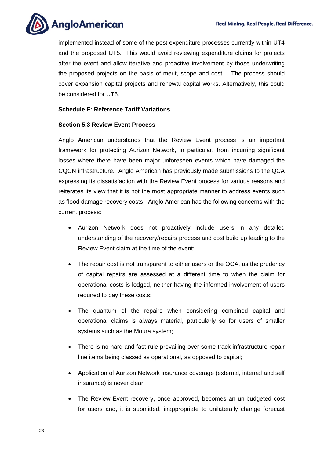

implemented instead of some of the post expenditure processes currently within UT4 and the proposed UT5. This would avoid reviewing expenditure claims for projects after the event and allow iterative and proactive involvement by those underwriting the proposed projects on the basis of merit, scope and cost. The process should cover expansion capital projects and renewal capital works. Alternatively, this could be considered for UT6.

#### <span id="page-22-0"></span>**Schedule F: Reference Tariff Variations**

#### **Section 5.3 Review Event Process**

Anglo American understands that the Review Event process is an important framework for protecting Aurizon Network, in particular, from incurring significant losses where there have been major unforeseen events which have damaged the CQCN infrastructure. Anglo American has previously made submissions to the QCA expressing its dissatisfaction with the Review Event process for various reasons and reiterates its view that it is not the most appropriate manner to address events such as flood damage recovery costs. Anglo American has the following concerns with the current process:

- Aurizon Network does not proactively include users in any detailed understanding of the recovery/repairs process and cost build up leading to the Review Event claim at the time of the event;
- The repair cost is not transparent to either users or the QCA, as the prudency of capital repairs are assessed at a different time to when the claim for operational costs is lodged, neither having the informed involvement of users required to pay these costs;
- The quantum of the repairs when considering combined capital and operational claims is always material, particularly so for users of smaller systems such as the Moura system;
- There is no hard and fast rule prevailing over some track infrastructure repair line items being classed as operational, as opposed to capital;
- Application of Aurizon Network insurance coverage (external, internal and self insurance) is never clear;
- The Review Event recovery, once approved, becomes an un-budgeted cost for users and, it is submitted, inappropriate to unilaterally change forecast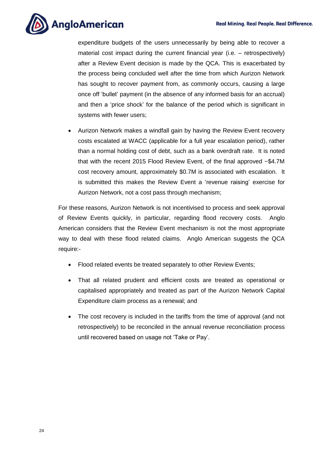

expenditure budgets of the users unnecessarily by being able to recover a material cost impact during the current financial year (i.e. – retrospectively) after a Review Event decision is made by the QCA. This is exacerbated by the process being concluded well after the time from which Aurizon Network has sought to recover payment from, as commonly occurs, causing a large once off 'bullet' payment (in the absence of any informed basis for an accrual) and then a 'price shock' for the balance of the period which is significant in systems with fewer users;

 Aurizon Network makes a windfall gain by having the Review Event recovery costs escalated at WACC (applicable for a full year escalation period), rather than a normal holding cost of debt, such as a bank overdraft rate. It is noted that with the recent 2015 Flood Review Event, of the final approved ~\$4.7M cost recovery amount, approximately \$0.7M is associated with escalation. It is submitted this makes the Review Event a 'revenue raising' exercise for Aurizon Network, not a cost pass through mechanism;

For these reasons, Aurizon Network is not incentivised to process and seek approval of Review Events quickly, in particular, regarding flood recovery costs. Anglo American considers that the Review Event mechanism is not the most appropriate way to deal with these flood related claims. Anglo American suggests the QCA require:-

- Flood related events be treated separately to other Review Events;
- That all related prudent and efficient costs are treated as operational or capitalised appropriately and treated as part of the Aurizon Network Capital Expenditure claim process as a renewal; and
- The cost recovery is included in the tariffs from the time of approval (and not retrospectively) to be reconciled in the annual revenue reconciliation process until recovered based on usage not 'Take or Pay'.